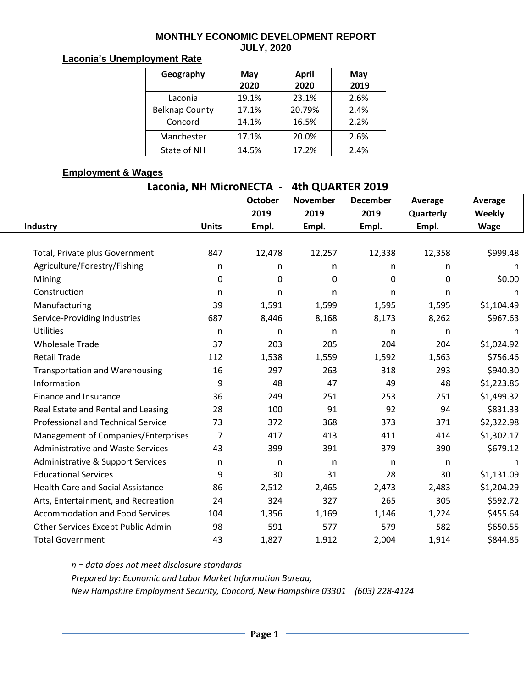#### **MONTHLY ECONOMIC DEVELOPMENT REPORT JULY, 2020**

### **Laconia's Unemployment Rate**

| Geography             | May   | April  | May  |  |  |
|-----------------------|-------|--------|------|--|--|
|                       | 2020  | 2020   | 2019 |  |  |
| Laconia               | 19.1% | 23.1%  | 2.6% |  |  |
| <b>Belknap County</b> | 17.1% | 20.79% | 2.4% |  |  |
| Concord               | 14.1% | 16.5%  | 2.2% |  |  |
| Manchester            | 17.1% | 20.0%  | 2.6% |  |  |
| State of NH           | 14.5% | 17.2%  | 2.4% |  |  |

## **Employment & Wages**

| Laconia, NH MicroNECTA - | 4th QUARTER 2019 |
|--------------------------|------------------|
|--------------------------|------------------|

|                                              |                | <b>October</b> | <b>November</b> | <b>December</b> | Average   | Average     |
|----------------------------------------------|----------------|----------------|-----------------|-----------------|-----------|-------------|
|                                              |                | 2019           | 2019            | 2019            | Quarterly | Weekly      |
| Industry                                     | <b>Units</b>   | Empl.          | Empl.           | Empl.           | Empl.     | <b>Wage</b> |
|                                              |                |                |                 |                 |           |             |
| Total, Private plus Government               | 847            | 12,478         | 12,257          | 12,338          | 12,358    | \$999.48    |
| Agriculture/Forestry/Fishing                 | n              | n              | n               | n               | n         | n           |
| Mining                                       | $\pmb{0}$      | 0              | 0               | 0               | 0         | \$0.00      |
| Construction                                 | n              | n              | n               | n               | n         | n           |
| Manufacturing                                | 39             | 1,591          | 1,599           | 1,595           | 1,595     | \$1,104.49  |
| Service-Providing Industries                 | 687            | 8,446          | 8,168           | 8,173           | 8,262     | \$967.63    |
| <b>Utilities</b>                             | n              | $\mathsf{n}$   | n               | n               | n         | n           |
| <b>Wholesale Trade</b>                       | 37             | 203            | 205             | 204             | 204       | \$1,024.92  |
| <b>Retail Trade</b>                          | 112            | 1,538          | 1,559           | 1,592           | 1,563     | \$756.46    |
| <b>Transportation and Warehousing</b>        | 16             | 297            | 263             | 318             | 293       | \$940.30    |
| Information                                  | 9              | 48             | 47              | 49              | 48        | \$1,223.86  |
| Finance and Insurance                        | 36             | 249            | 251             | 253             | 251       | \$1,499.32  |
| Real Estate and Rental and Leasing           | 28             | 100            | 91              | 92              | 94        | \$831.33    |
| <b>Professional and Technical Service</b>    | 73             | 372            | 368             | 373             | 371       | \$2,322.98  |
| Management of Companies/Enterprises          | $\overline{7}$ | 417            | 413             | 411             | 414       | \$1,302.17  |
| <b>Administrative and Waste Services</b>     | 43             | 399            | 391             | 379             | 390       | \$679.12    |
| <b>Administrative &amp; Support Services</b> | n              | n              | n               | n               | n         | n           |
| <b>Educational Services</b>                  | 9              | 30             | 31              | 28              | 30        | \$1,131.09  |
| <b>Health Care and Social Assistance</b>     | 86             | 2,512          | 2,465           | 2,473           | 2,483     | \$1,204.29  |
| Arts, Entertainment, and Recreation          | 24             | 324            | 327             | 265             | 305       | \$592.72    |
| <b>Accommodation and Food Services</b>       | 104            | 1,356          | 1,169           | 1,146           | 1,224     | \$455.64    |
| Other Services Except Public Admin           | 98             | 591            | 577             | 579             | 582       | \$650.55    |
| <b>Total Government</b>                      | 43             | 1,827          | 1,912           | 2,004           | 1,914     | \$844.85    |

*n = data does not meet disclosure standards Prepared by: Economic and Labor Market Information Bureau, New Hampshire Employment Security, Concord, New Hampshire 03301 (603) 228-4124*